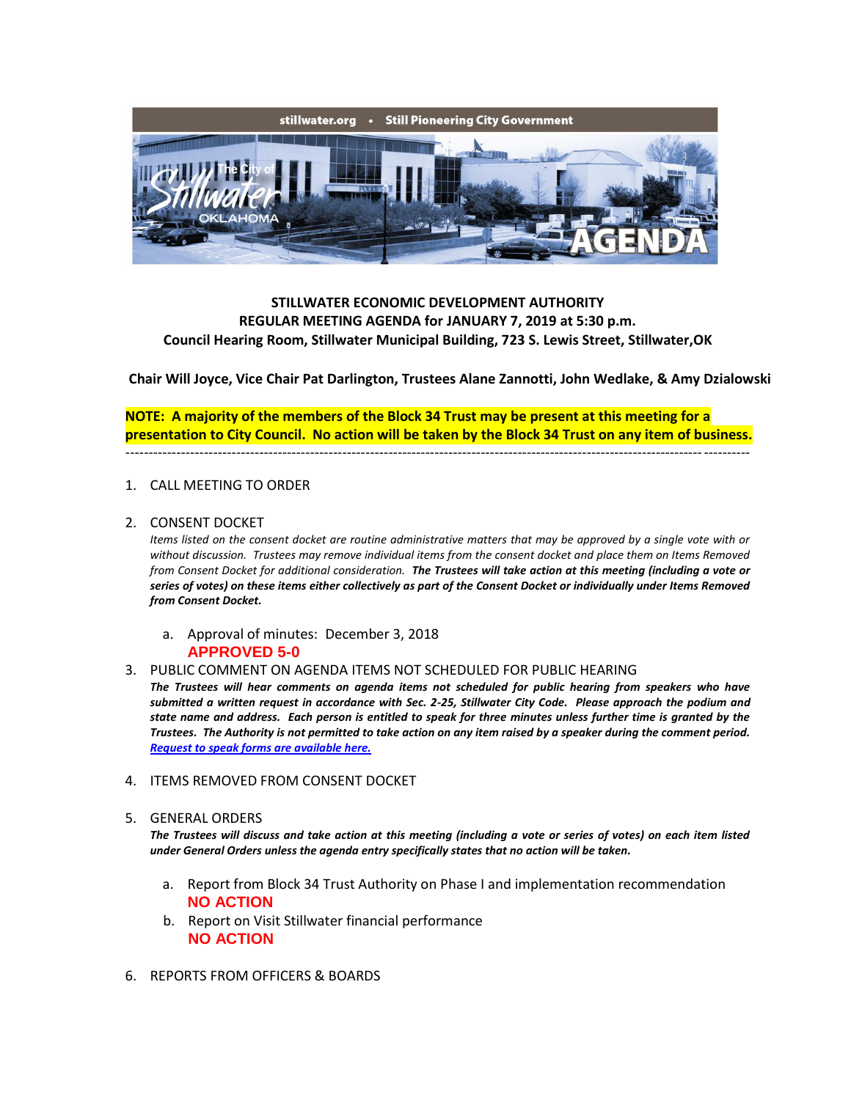

## **STILLWATER ECONOMIC DEVELOPMENT AUTHORITY REGULAR MEETING AGENDA for JANUARY 7, 2019 at 5:30 p.m. Council Hearing Room, Stillwater Municipal Building, 723 S. Lewis Street, Stillwater,OK**

**Chair Will Joyce, Vice Chair Pat Darlington, Trustees Alane Zannotti, John Wedlake, & Amy Dzialowski**

**NOTE: A majority of the members of the Block 34 Trust may be present at this meeting for a presentation to City Council. No action will be taken by the Block 34 Trust on any item of business.** ---------------------------------------------------------------------------------------------------------------------------------------

## 1. CALL MEETING TO ORDER

2. CONSENT DOCKET

*Items listed on the consent docket are routine administrative matters that may be approved by a single vote with or without discussion. Trustees may remove individual items from the consent docket and place them on Items Removed from Consent Docket for additional consideration. The Trustees will take action at this meeting (including a vote or series of votes) on these items either collectively as part of the Consent Docket or individually under Items Removed from Consent Docket.*

- a. Approval of minutes: December 3, 2018 **APPROVED 5-0**
- 3. PUBLIC COMMENT ON AGENDA ITEMS NOT SCHEDULED FOR PUBLIC HEARING

*The Trustees will hear comments on agenda items not scheduled for public hearing from speakers who have submitted a written request in accordance with Sec. 2-25, Stillwater City Code. Please approach the podium and state name and address. Each person is entitled to speak for three minutes unless further time is granted by the Trustees. The Authority is not permitted to take action on any item raised by a speaker during the comment period. [Request to speak forms are available here.](http://stillwater.org/document/request_to_speak_at_city_council.php)*

4. ITEMS REMOVED FROM CONSENT DOCKET

## 5. GENERAL ORDERS

*The Trustees will discuss and take action at this meeting (including a vote or series of votes) on each item listed under General Orders unless the agenda entry specifically states that no action will be taken.*

- a. Report from Block 34 Trust Authority on Phase I and implementation recommendation **NO ACTION**
- b. Report on Visit Stillwater financial performance **NO ACTION**
- 6. REPORTS FROM OFFICERS & BOARDS